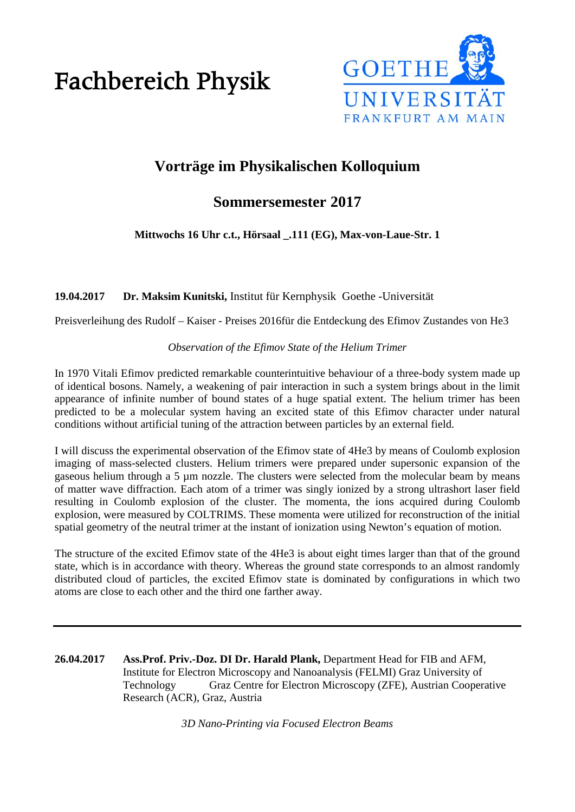# Fachbereich Physik



# **Vorträge im Physikalischen Kolloquium**

# **Sommersemester 2017**

**Mittwochs 16 Uhr c.t., Hörsaal \_.111 (EG), Max-von-Laue-Str. 1**

**19.04.2017 Dr. Maksim Kunitski,** Institut für Kernphysik Goethe -Universität

Preisverleihung des Rudolf – Kaiser - Preises 2016für die Entdeckung des Efimov Zustandes von He3

## *Observation of the Efimov State of the Helium Trimer*

In 1970 Vitali Efimov predicted remarkable counterintuitive behaviour of a three-body system made up of identical bosons. Namely, a weakening of pair interaction in such a system brings about in the limit appearance of infinite number of bound states of a huge spatial extent. The helium trimer has been predicted to be a molecular system having an excited state of this Efimov character under natural conditions without artificial tuning of the attraction between particles by an external field.

I will discuss the experimental observation of the Efimov state of 4He3 by means of Coulomb explosion imaging of mass-selected clusters. Helium trimers were prepared under supersonic expansion of the gaseous helium through a 5 µm nozzle. The clusters were selected from the molecular beam by means of matter wave diffraction. Each atom of a trimer was singly ionized by a strong ultrashort laser field resulting in Coulomb explosion of the cluster. The momenta, the ions acquired during Coulomb explosion, were measured by COLTRIMS. These momenta were utilized for reconstruction of the initial spatial geometry of the neutral trimer at the instant of ionization using Newton's equation of motion.

The structure of the excited Efimov state of the 4He3 is about eight times larger than that of the ground state, which is in accordance with theory. Whereas the ground state corresponds to an almost randomly distributed cloud of particles, the excited Efimov state is dominated by configurations in which two atoms are close to each other and the third one farther away.

**26.04.2017 Ass.Prof. Priv.-Doz. DI Dr. Harald Plank,** Department Head for FIB and AFM, Institute for Electron Microscopy and Nanoanalysis (FELMI) Graz University of Technology Graz Centre for Electron Microscopy (ZFE), Austrian Cooperative Research (ACR), Graz, Austria

*3D Nano-Printing via Focused Electron Beams*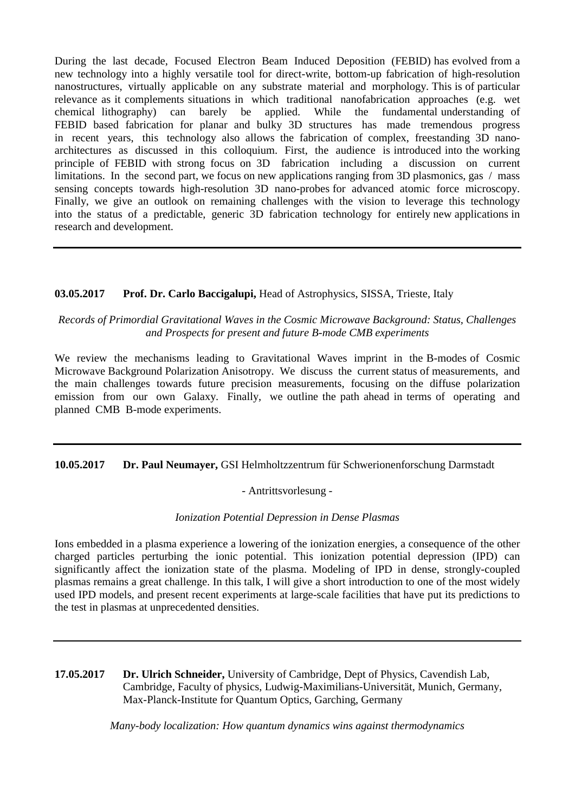During the last decade, Focused Electron Beam Induced Deposition (FEBID) has evolved from a new technology into a highly versatile tool for direct-write, bottom-up fabrication of high-resolution nanostructures, virtually applicable on any substrate material and morphology. This is of particular relevance as it complements situations in which traditional nanofabrication approaches (e.g. wet chemical lithography) can barely be applied. While the fundamental understanding of FEBID based fabrication for planar and bulky 3D structures has made tremendous progress in recent years, this technology also allows the fabrication of complex, freestanding 3D nanoarchitectures as discussed in this colloquium. First, the audience is introduced into the working principle of FEBID with strong focus on 3D fabrication including a discussion on current limitations. In the second part, we focus on new applications ranging from 3D plasmonics, gas / mass sensing concepts towards high-resolution 3D nano-probes for advanced atomic force microscopy. Finally, we give an outlook on remaining challenges with the vision to leverage this technology into the status of a predictable, generic 3D fabrication technology for entirely new applications in research and development.

## **03.05.2017 Prof. Dr. Carlo Baccigalupi,** Head of Astrophysics, SISSA, Trieste, Italy

#### *Records of Primordial Gravitational Waves in the Cosmic Microwave Background: Status, Challenges and Prospects for present and future B-mode CMB experiments*

We review the mechanisms leading to Gravitational Waves imprint in the B-modes of Cosmic Microwave Background Polarization Anisotropy. We discuss the current status of measurements, and the main challenges towards future precision measurements, focusing on the diffuse polarization emission from our own Galaxy. Finally, we outline the path ahead in terms of operating and planned CMB B-mode experiments.

#### **10.05.2017 Dr. Paul Neumayer,** GSI Helmholtzzentrum für Schwerionenforschung Darmstadt

#### - Antrittsvorlesung -

#### *Ionization Potential Depression in Dense Plasmas*

Ions embedded in a plasma experience a lowering of the ionization energies, a consequence of the other charged particles perturbing the ionic potential. This ionization potential depression (IPD) can significantly affect the ionization state of the plasma. Modeling of IPD in dense, strongly-coupled plasmas remains a great challenge. In this talk, I will give a short introduction to one of the most widely used IPD models, and present recent experiments at large-scale facilities that have put its predictions to the test in plasmas at unprecedented densities.

**17.05.2017 Dr. Ulrich Schneider,** University of Cambridge, Dept of Physics, Cavendish Lab, Cambridge, Faculty of physics, Ludwig-Maximilians-Universität, Munich, Germany, Max-Planck-Institute for Quantum Optics, Garching, Germany

*Many-body localization: How quantum dynamics wins against thermodynamics*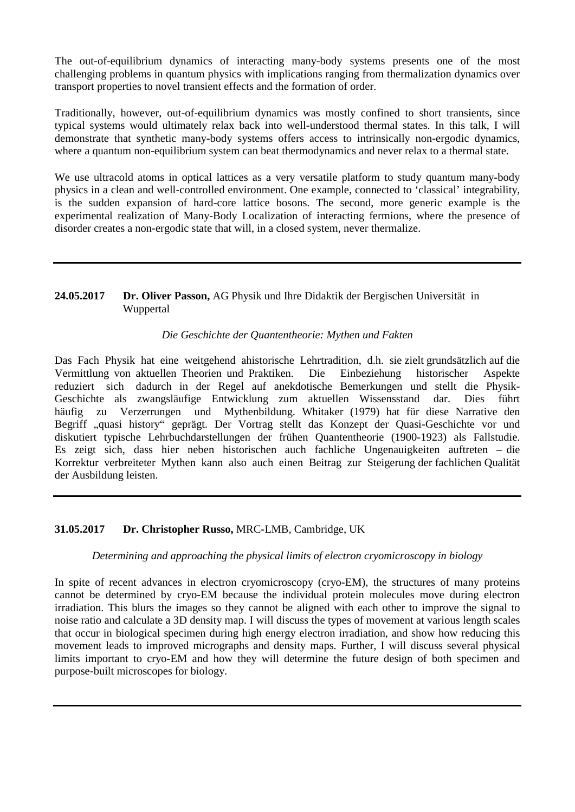The out-of-equilibrium dynamics of interacting many-body systems presents one of the most challenging problems in quantum physics with implications ranging from thermalization dynamics over transport properties to novel transient effects and the formation of order.

Traditionally, however, out-of-equilibrium dynamics was mostly confined to short transients, since typical systems would ultimately relax back into well-understood thermal states. In this talk, I will demonstrate that synthetic many-body systems offers access to intrinsically non-ergodic dynamics, where a quantum non-equilibrium system can beat thermodynamics and never relax to a thermal state.

We use ultracold atoms in optical lattices as a very versatile platform to study quantum many-body physics in a clean and well-controlled environment. One example, connected to 'classical' integrability, is the sudden expansion of hard-core lattice bosons. The second, more generic example is the experimental realization of Many-Body Localization of interacting fermions, where the presence of disorder creates a non-ergodic state that will, in a closed system, never thermalize.

# **24.05.2017 Dr. Oliver Passon,** AG Physik und Ihre Didaktik der Bergischen Universität in Wuppertal

#### *Die Geschichte der Quantentheorie: Mythen und Fakten*

Das Fach Physik hat eine weitgehend ahistorische Lehrtradition, d.h. sie zielt grundsätzlich auf die Vermittlung von aktuellen Theorien und Praktiken. Die Einbeziehung historischer Aspekte reduziert sich dadurch in der Regel auf anekdotische Bemerkungen und stellt die Physik-Geschichte als zwangsläufige Entwicklung zum aktuellen Wissensstand dar. Dies führt häufig zu Verzerrungen und Mythenbildung. Whitaker (1979) hat für diese Narrative den Begriff "quasi history" geprägt. Der Vortrag stellt das Konzept der Quasi-Geschichte vor und diskutiert typische Lehrbuchdarstellungen der frühen Quantentheorie (1900-1923) als Fallstudie. Es zeigt sich, dass hier neben historischen auch fachliche Ungenauigkeiten auftreten – die Korrektur verbreiteter Mythen kann also auch einen Beitrag zur Steigerung der fachlichen Qualität der Ausbildung leisten.

#### **31.05.2017 Dr. Christopher Russo,** MRC-LMB, Cambridge, UK

#### *Determining and approaching the physical limits of electron cryomicroscopy in biology*

In spite of recent advances in electron cryomicroscopy (cryo-EM), the structures of many proteins cannot be determined by cryo-EM because the individual protein molecules move during electron irradiation. This blurs the images so they cannot be aligned with each other to improve the signal to noise ratio and calculate a 3D density map. I will discuss the types of movement at various length scales that occur in biological specimen during high energy electron irradiation, and show how reducing this movement leads to improved micrographs and density maps. Further, I will discuss several physical limits important to cryo-EM and how they will determine the future design of both specimen and purpose-built microscopes for biology.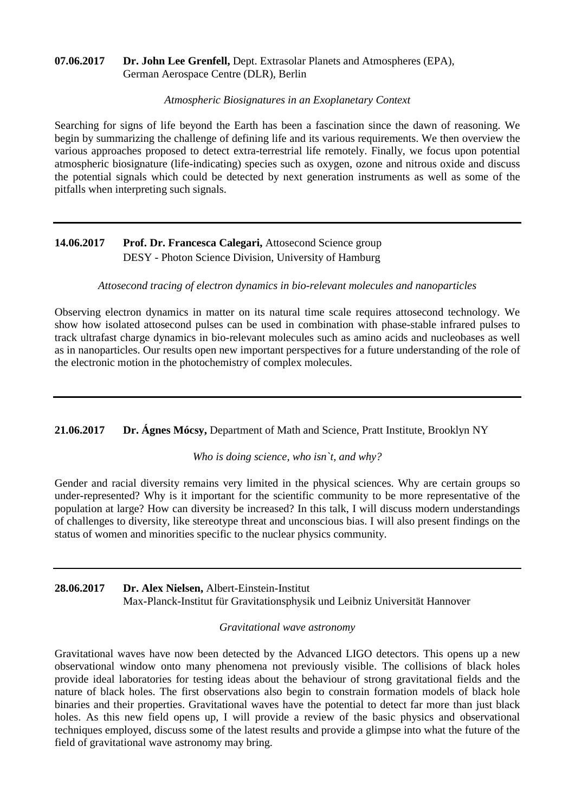### **07.06.2017 Dr. John Lee Grenfell,** Dept. Extrasolar Planets and Atmospheres (EPA), German Aerospace Centre (DLR), Berlin

#### *Atmospheric Biosignatures in an Exoplanetary Context*

Searching for signs of life beyond the Earth has been a fascination since the dawn of reasoning. We begin by summarizing the challenge of defining life and its various requirements. We then overview the various approaches proposed to detect extra-terrestrial life remotely. Finally, we focus upon potential atmospheric biosignature (life-indicating) species such as oxygen, ozone and nitrous oxide and discuss the potential signals which could be detected by next generation instruments as well as some of the pitfalls when interpreting such signals.

# **14.06.2017 Prof. Dr. Francesca Calegari,** Attosecond Science group DESY - Photon Science Division, University of Hamburg

#### *Attosecond tracing of electron dynamics in bio-relevant molecules and nanoparticles*

Observing electron dynamics in matter on its natural time scale requires attosecond technology. We show how isolated attosecond pulses can be used in combination with phase-stable infrared pulses to track ultrafast charge dynamics in bio-relevant molecules such as amino acids and nucleobases as well as in nanoparticles. Our results open new important perspectives for a future understanding of the role of the electronic motion in the photochemistry of complex molecules.

**21.06.2017 Dr. Ágnes Mócsy,** Department of Math and Science, Pratt Institute, Brooklyn NY

#### *Who is doing science, who isn`t, and why?*

Gender and racial diversity remains very limited in the physical sciences. Why are certain groups so under-represented? Why is it important for the scientific community to be more representative of the population at large? How can diversity be increased? In this talk, I will discuss modern understandings of challenges to diversity, like stereotype threat and unconscious bias. I will also present findings on the status of women and minorities specific to the nuclear physics community.

**28.06.2017 Dr. Alex Nielsen,** Albert-Einstein-Institut Max-Planck-Institut für Gravitationsphysik und Leibniz Universität Hannover

#### *Gravitational wave astronomy*

Gravitational waves have now been detected by the Advanced LIGO detectors. This opens up a new observational window onto many phenomena not previously visible. The collisions of black holes provide ideal laboratories for testing ideas about the behaviour of strong gravitational fields and the nature of black holes. The first observations also begin to constrain formation models of black hole binaries and their properties. Gravitational waves have the potential to detect far more than just black holes. As this new field opens up, I will provide a review of the basic physics and observational techniques employed, discuss some of the latest results and provide a glimpse into what the future of the field of gravitational wave astronomy may bring.